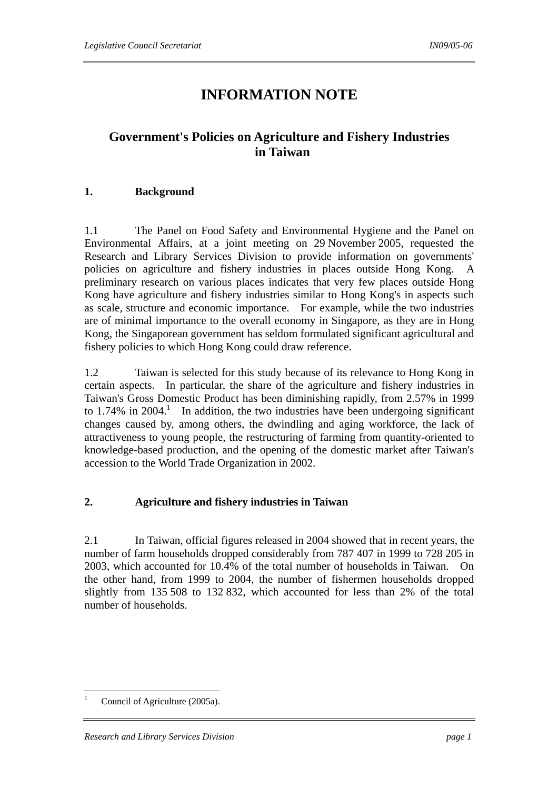# **INFORMATION NOTE**

# **Government's Policies on Agriculture and Fishery Industries in Taiwan**

# **1. Background**

1.1 The Panel on Food Safety and Environmental Hygiene and the Panel on Environmental Affairs, at a joint meeting on 29 November 2005, requested the Research and Library Services Division to provide information on governments' policies on agriculture and fishery industries in places outside Hong Kong. A preliminary research on various places indicates that very few places outside Hong Kong have agriculture and fishery industries similar to Hong Kong's in aspects such as scale, structure and economic importance. For example, while the two industries are of minimal importance to the overall economy in Singapore, as they are in Hong Kong, the Singaporean government has seldom formulated significant agricultural and fishery policies to which Hong Kong could draw reference.

1.2 Taiwan is selected for this study because of its relevance to Hong Kong in certain aspects. In particular, the share of the agriculture and fishery industries in Taiwan's Gross Domestic Product has been diminishing rapidly, from 2.57% in 1999 to  $1.74\%$  in  $2004$ .<sup>1</sup> In addition, the two industries have been undergoing significant changes caused by, among others, the dwindling and aging workforce, the lack of attractiveness to young people, the restructuring of farming from quantity-oriented to knowledge-based production, and the opening of the domestic market after Taiwan's accession to the World Trade Organization in 2002.

## **2. Agriculture and fishery industries in Taiwan**

2.1 In Taiwan, official figures released in 2004 showed that in recent years, the number of farm households dropped considerably from 787 407 in 1999 to 728 205 in 2003, which accounted for 10.4% of the total number of households in Taiwan. On the other hand, from 1999 to 2004, the number of fishermen households dropped slightly from 135 508 to 132 832, which accounted for less than 2% of the total number of households.

 $\overline{a}$ 

<sup>1</sup> Council of Agriculture (2005a).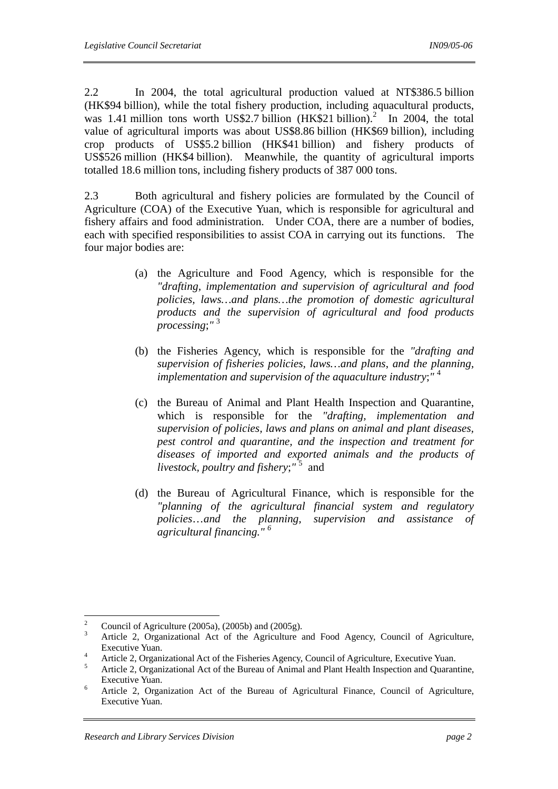2.2 In 2004, the total agricultural production valued at NT\$386.5 billion (HK\$94 billion), while the total fishery production, including aquacultural products, was 1.41 million tons worth US\$2.7 billion  $(HK$21 billion)<sup>2</sup>$  In 2004, the total value of agricultural imports was about US\$8.86 billion (HK\$69 billion), including crop products of US\$5.2 billion (HK\$41 billion) and fishery products of US\$526 million (HK\$4 billion). Meanwhile, the quantity of agricultural imports totalled 18.6 million tons, including fishery products of 387 000 tons.

2.3 Both agricultural and fishery policies are formulated by the Council of Agriculture (COA) of the Executive Yuan, which is responsible for agricultural and fishery affairs and food administration. Under COA, there are a number of bodies, each with specified responsibilities to assist COA in carrying out its functions. The four major bodies are:

- (a) the Agriculture and Food Agency, which is responsible for the *"drafting, implementation and supervision of agricultural and food policies, laws…and plans…the promotion of domestic agricultural products and the supervision of agricultural and food products processing*;*"* <sup>3</sup>
- (b) the Fisheries Agency, which is responsible for the *"drafting and supervision of fisheries policies, laws…and plans*, *and the planning, implementation and supervision of the aquaculture industry*;"<sup>4</sup>
- (c) the Bureau of Animal and Plant Health Inspection and Quarantine, which is responsible for the *"drafting, implementation and supervision of policies, laws and plans on animal and plant diseases, pest control and quarantine, and the inspection and treatment for diseases of imported and exported animals and the products of livestock, poultry and fishery*;*"* <sup>5</sup> and
- (d) the Bureau of Agricultural Finance, which is responsible for the *"planning of the agricultural financial system and regulatory policies*…*and the planning, supervision and assistance of agricultural financing." 6*

 $\frac{1}{2}$ Council of Agriculture (2005a), (2005b) and (2005g).

<sup>3</sup> Article 2, Organizational Act of the Agriculture and Food Agency, Council of Agriculture, Executive Yuan.

Article 2, Organizational Act of the Fisheries Agency, Council of Agriculture, Executive Yuan.

Article 2, Organizational Act of the Bureau of Animal and Plant Health Inspection and Quarantine, Executive Yuan.

Article 2, Organization Act of the Bureau of Agricultural Finance, Council of Agriculture, Executive Yuan.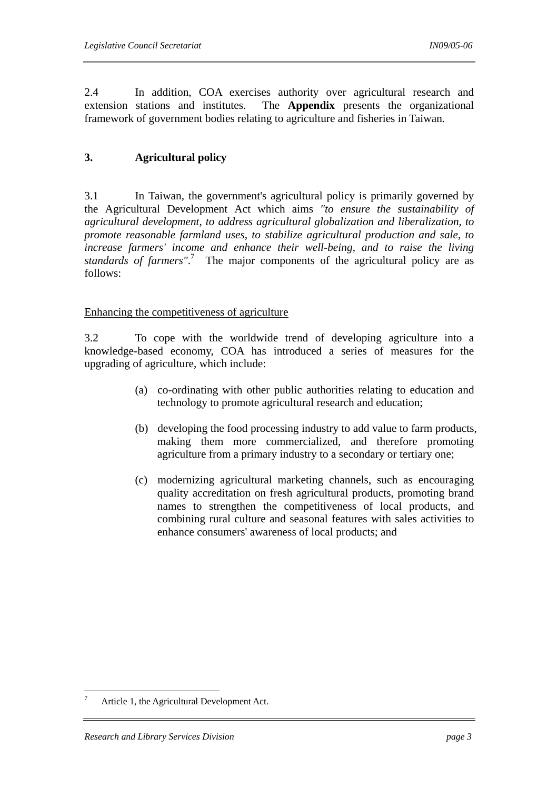2.4 In addition, COA exercises authority over agricultural research and extension stations and institutes. The **Appendix** presents the organizational framework of government bodies relating to agriculture and fisheries in Taiwan.

# **3. Agricultural policy**

3.1 In Taiwan, the government's agricultural policy is primarily governed by the Agricultural Development Act which aims *"to ensure the sustainability of agricultural development, to address agricultural globalization and liberalization, to promote reasonable farmland uses, to stabilize agricultural production and sale, to increase farmers' income and enhance their well-being, and to raise the living*  standards of farmers".<sup>7</sup> The major components of the agricultural policy are as follows:

Enhancing the competitiveness of agriculture

3.2 To cope with the worldwide trend of developing agriculture into a knowledge-based economy, COA has introduced a series of measures for the upgrading of agriculture, which include:

- (a) co-ordinating with other public authorities relating to education and technology to promote agricultural research and education;
- (b) developing the food processing industry to add value to farm products, making them more commercialized, and therefore promoting agriculture from a primary industry to a secondary or tertiary one;
- (c) modernizing agricultural marketing channels, such as encouraging quality accreditation on fresh agricultural products, promoting brand names to strengthen the competitiveness of local products, and combining rural culture and seasonal features with sales activities to enhance consumers' awareness of local products; and

 $\overline{a}$ 

<sup>7</sup> Article 1, the Agricultural Development Act.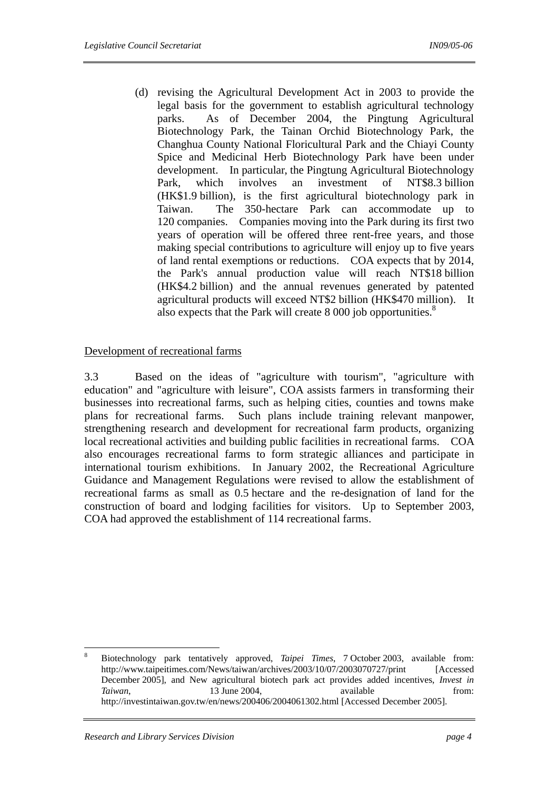(d) revising the Agricultural Development Act in 2003 to provide the legal basis for the government to establish agricultural technology parks. As of December 2004, the Pingtung Agricultural Biotechnology Park, the Tainan Orchid Biotechnology Park, the Changhua County National Floricultural Park and the Chiayi County Spice and Medicinal Herb Biotechnology Park have been under development. In particular, the Pingtung Agricultural Biotechnology Park, which involves an investment of NT\$8.3 billion (HK\$1.9 billion), is the first agricultural biotechnology park in Taiwan. The 350-hectare Park can accommodate up to 120 companies. Companies moving into the Park during its first two years of operation will be offered three rent-free years, and those making special contributions to agriculture will enjoy up to five years of land rental exemptions or reductions. COA expects that by 2014, the Park's annual production value will reach NT\$18 billion (HK\$4.2 billion) and the annual revenues generated by patented agricultural products will exceed NT\$2 billion (HK\$470 million). It also expects that the Park will create 8 000 job opportunities.<sup>8</sup>

# Development of recreational farms

3.3 Based on the ideas of "agriculture with tourism", "agriculture with education" and "agriculture with leisure", COA assists farmers in transforming their businesses into recreational farms, such as helping cities, counties and towns make plans for recreational farms. Such plans include training relevant manpower, strengthening research and development for recreational farm products, organizing local recreational activities and building public facilities in recreational farms. COA also encourages recreational farms to form strategic alliances and participate in international tourism exhibitions. In January 2002, the Recreational Agriculture Guidance and Management Regulations were revised to allow the establishment of recreational farms as small as 0.5 hectare and the re-designation of land for the construction of board and lodging facilities for visitors. Up to September 2003, COA had approved the establishment of 114 recreational farms.

 8 Biotechnology park tentatively approved, *Taipei Times*, 7 October 2003, available from: http://www.taipeitimes.com/News/taiwan/archives/2003/10/07/2003070727/print [Accessed December 2005], and New agricultural biotech park act provides added incentives, *Invest in Taiwan*, 13 June 2004, available from: http://investintaiwan.gov.tw/en/news/200406/2004061302.html [Accessed December 2005].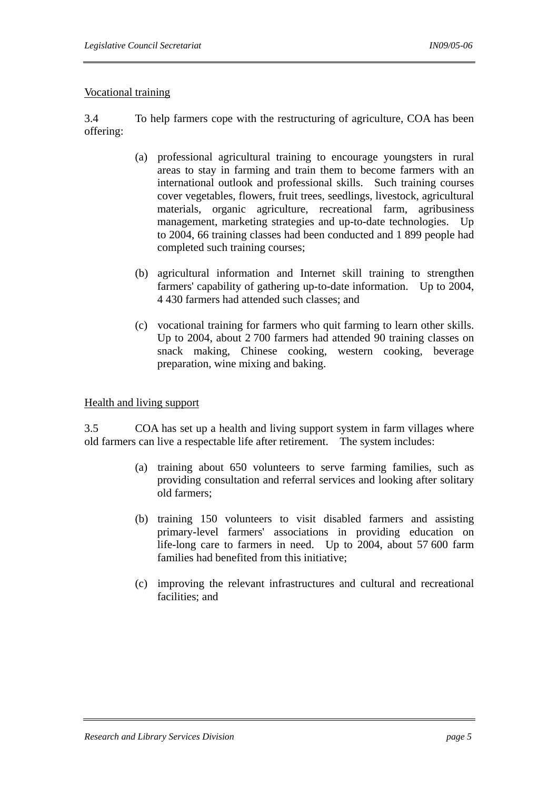# Vocational training

3.4 To help farmers cope with the restructuring of agriculture, COA has been offering:

- (a) professional agricultural training to encourage youngsters in rural areas to stay in farming and train them to become farmers with an international outlook and professional skills. Such training courses cover vegetables, flowers, fruit trees, seedlings, livestock, agricultural materials, organic agriculture, recreational farm, agribusiness management, marketing strategies and up-to-date technologies. Up to 2004, 66 training classes had been conducted and 1 899 people had completed such training courses;
- (b) agricultural information and Internet skill training to strengthen farmers' capability of gathering up-to-date information. Up to 2004, 4 430 farmers had attended such classes; and
- (c) vocational training for farmers who quit farming to learn other skills. Up to 2004, about 2 700 farmers had attended 90 training classes on snack making, Chinese cooking, western cooking, beverage preparation, wine mixing and baking.

#### Health and living support

3.5 COA has set up a health and living support system in farm villages where old farmers can live a respectable life after retirement. The system includes:

- (a) training about 650 volunteers to serve farming families, such as providing consultation and referral services and looking after solitary old farmers;
- (b) training 150 volunteers to visit disabled farmers and assisting primary-level farmers' associations in providing education on life-long care to farmers in need. Up to 2004, about 57 600 farm families had benefited from this initiative;
- (c) improving the relevant infrastructures and cultural and recreational facilities; and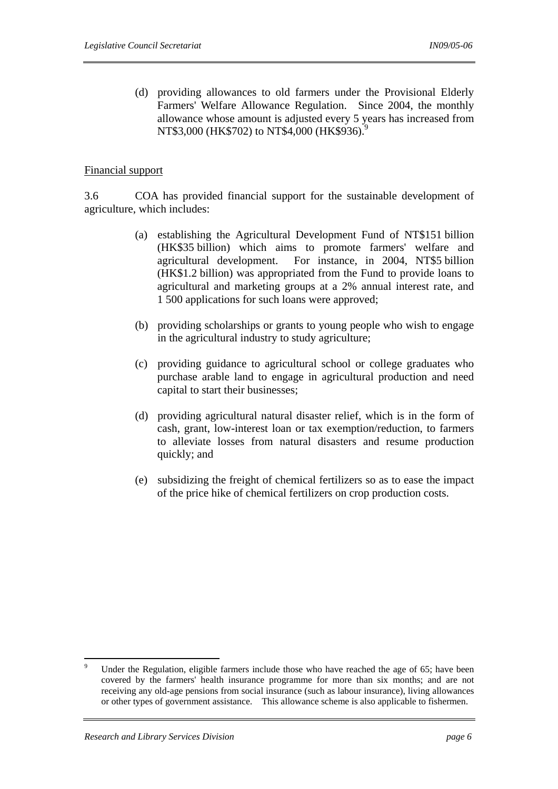(d) providing allowances to old farmers under the Provisional Elderly Farmers' Welfare Allowance Regulation. Since 2004, the monthly allowance whose amount is adjusted every 5 years has increased from NT\$3,000 (HK\$702) to NT\$4,000 (HK\$936).<sup>9</sup>

#### Financial support

3.6 COA has provided financial support for the sustainable development of agriculture, which includes:

- (a) establishing the Agricultural Development Fund of NT\$151 billion (HK\$35 billion) which aims to promote farmers' welfare and agricultural development. For instance, in 2004, NT\$5 billion (HK\$1.2 billion) was appropriated from the Fund to provide loans to agricultural and marketing groups at a 2% annual interest rate, and 1 500 applications for such loans were approved;
- (b) providing scholarships or grants to young people who wish to engage in the agricultural industry to study agriculture;
- (c) providing guidance to agricultural school or college graduates who purchase arable land to engage in agricultural production and need capital to start their businesses;
- (d) providing agricultural natural disaster relief, which is in the form of cash, grant, low-interest loan or tax exemption/reduction, to farmers to alleviate losses from natural disasters and resume production quickly; and
- (e) subsidizing the freight of chemical fertilizers so as to ease the impact of the price hike of chemical fertilizers on crop production costs.

<sup>-&</sup>lt;br>9 Under the Regulation, eligible farmers include those who have reached the age of 65; have been covered by the farmers' health insurance programme for more than six months; and are not receiving any old-age pensions from social insurance (such as labour insurance), living allowances or other types of government assistance. This allowance scheme is also applicable to fishermen.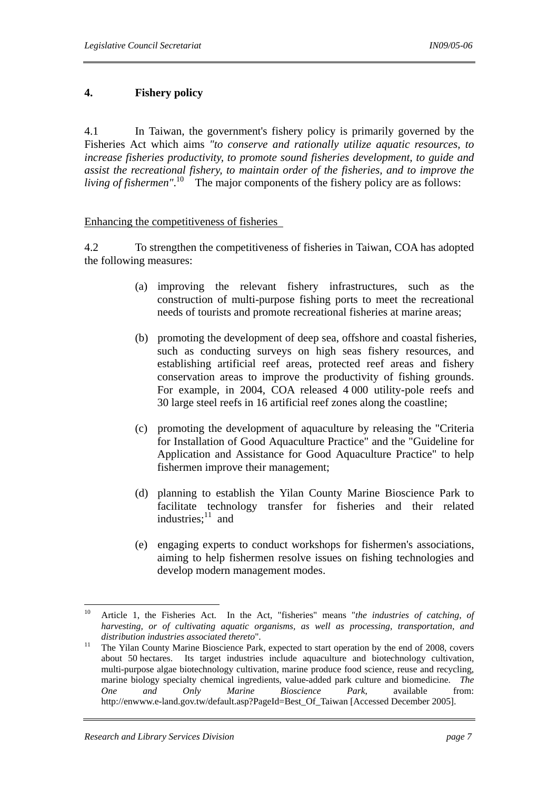# **4. Fishery policy**

4.1 In Taiwan, the government's fishery policy is primarily governed by the Fisheries Act which aims *"to conserve and rationally utilize aquatic resources, to increase fisheries productivity, to promote sound fisheries development, to guide and assist the recreational fishery, to maintain order of the fisheries, and to improve the living of fishermen*".<sup>10</sup> The major components of the fishery policy are as follows:

#### Enhancing the competitiveness of fisheries

4.2 To strengthen the competitiveness of fisheries in Taiwan, COA has adopted the following measures:

- (a) improving the relevant fishery infrastructures, such as the construction of multi-purpose fishing ports to meet the recreational needs of tourists and promote recreational fisheries at marine areas;
- (b) promoting the development of deep sea, offshore and coastal fisheries, such as conducting surveys on high seas fishery resources, and establishing artificial reef areas, protected reef areas and fishery conservation areas to improve the productivity of fishing grounds. For example, in 2004, COA released 4 000 utility-pole reefs and 30 large steel reefs in 16 artificial reef zones along the coastline;
- (c) promoting the development of aquaculture by releasing the "Criteria for Installation of Good Aquaculture Practice" and the "Guideline for Application and Assistance for Good Aquaculture Practice" to help fishermen improve their management;
- (d) planning to establish the Yilan County Marine Bioscience Park to facilitate technology transfer for fisheries and their related industries: $11$  and
- (e) engaging experts to conduct workshops for fishermen's associations, aiming to help fishermen resolve issues on fishing technologies and develop modern management modes.

 $10<sup>10</sup>$ 10 Article 1, the Fisheries Act. In the Act, "fisheries" means "*the industries of catching, of harvesting, or of cultivating aquatic organisms, as well as processing, transportation, and distribution industries associated thereto*".<br><sup>11</sup> The Yilan County Marine Bioscience Park, expected to start operation by the end of 2008, covers

about 50 hectares. Its target industries include aquaculture and biotechnology cultivation, multi-purpose algae biotechnology cultivation, marine produce food science, reuse and recycling, marine biology specialty chemical ingredients, value-added park culture and biomedicine. *The One and Only Marine Bioscience Park*, available from: http://enwww.e-land.gov.tw/default.asp?PageId=Best\_Of\_Taiwan [Accessed December 2005].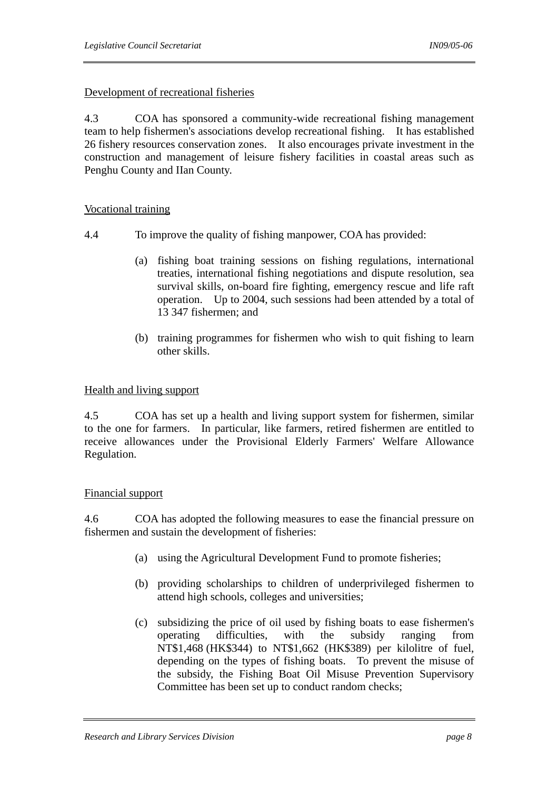# Development of recreational fisheries

4.3 COA has sponsored a community-wide recreational fishing management team to help fishermen's associations develop recreational fishing. It has established 26 fishery resources conservation zones. It also encourages private investment in the construction and management of leisure fishery facilities in coastal areas such as Penghu County and IIan County.

#### Vocational training

- 4.4 To improve the quality of fishing manpower, COA has provided:
	- (a) fishing boat training sessions on fishing regulations, international treaties, international fishing negotiations and dispute resolution, sea survival skills, on-board fire fighting, emergency rescue and life raft operation. Up to 2004, such sessions had been attended by a total of 13 347 fishermen; and
	- (b) training programmes for fishermen who wish to quit fishing to learn other skills.

## Health and living support

4.5 COA has set up a health and living support system for fishermen, similar to the one for farmers. In particular, like farmers, retired fishermen are entitled to receive allowances under the Provisional Elderly Farmers' Welfare Allowance Regulation.

#### Financial support

4.6 COA has adopted the following measures to ease the financial pressure on fishermen and sustain the development of fisheries:

- (a) using the Agricultural Development Fund to promote fisheries;
- (b) providing scholarships to children of underprivileged fishermen to attend high schools, colleges and universities;
- (c) subsidizing the price of oil used by fishing boats to ease fishermen's operating difficulties, with the subsidy ranging from NT\$1,468 (HK\$344) to NT\$1,662 (HK\$389) per kilolitre of fuel, depending on the types of fishing boats. To prevent the misuse of the subsidy, the Fishing Boat Oil Misuse Prevention Supervisory Committee has been set up to conduct random checks;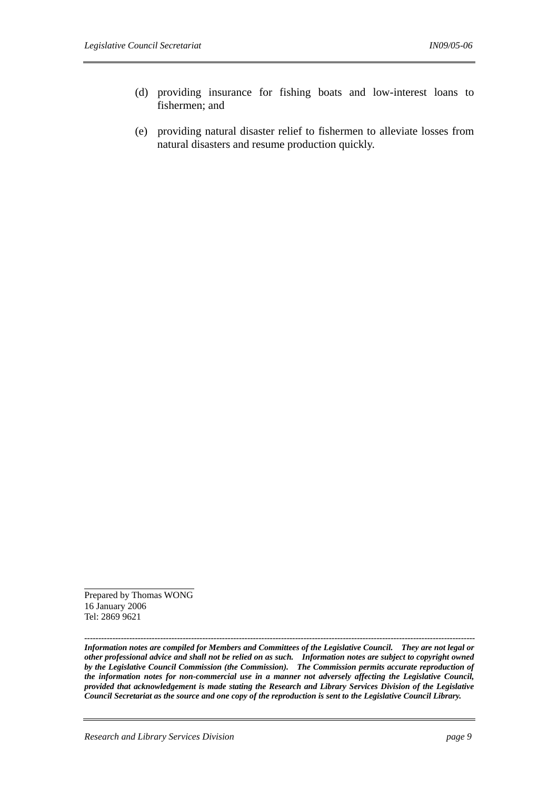- (d) providing insurance for fishing boats and low-interest loans to fishermen; and
- (e) providing natural disaster relief to fishermen to alleviate losses from natural disasters and resume production quickly.

Prepared by Thomas WONG 16 January 2006 Tel: 2869 9621

*------------------------------------------------------------------------------------------------------------------------------------------- Information notes are compiled for Members and Committees of the Legislative Council. They are not legal or other professional advice and shall not be relied on as such. Information notes are subject to copyright owned by the Legislative Council Commission (the Commission). The Commission permits accurate reproduction of the information notes for non-commercial use in a manner not adversely affecting the Legislative Council, provided that acknowledgement is made stating the Research and Library Services Division of the Legislative Council Secretariat as the source and one copy of the reproduction is sent to the Legislative Council Library.*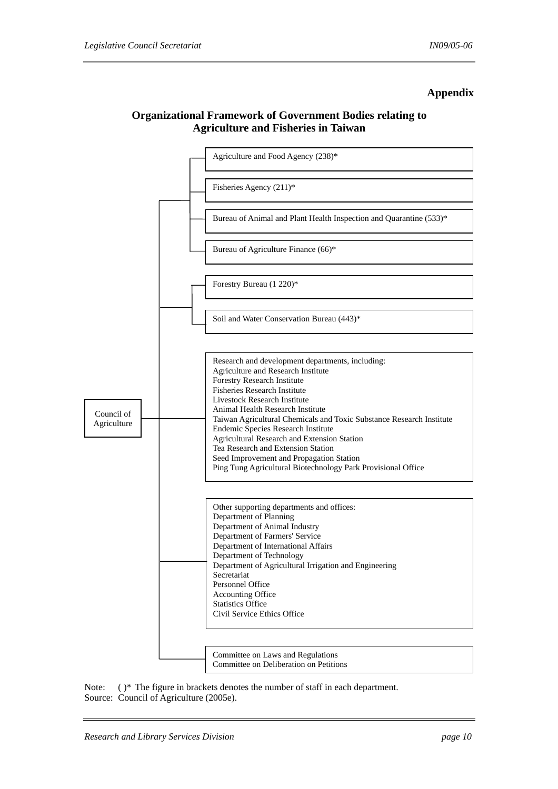#### **Appendix**

# **Organizational Framework of Government Bodies relating to Agriculture and Fisheries in Taiwan**



Note: ( )\* The figure in brackets denotes the number of staff in each department. Source: Council of Agriculture (2005e).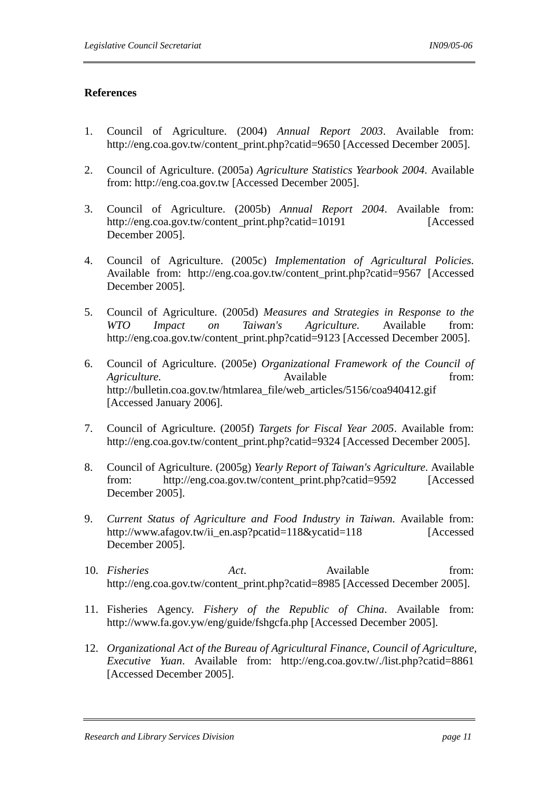#### **References**

- 1. Council of Agriculture. (2004) *Annual Report 2003*. Available from: http://eng.coa.gov.tw/content\_print.php?catid=9650 [Accessed December 2005].
- 2. Council of Agriculture. (2005a) *Agriculture Statistics Yearbook 2004*. Available from: http://eng.coa.gov.tw [Accessed December 2005].
- 3. Council of Agriculture. (2005b) *Annual Report 2004*. Available from: http://eng.coa.gov.tw/content\_print.php?catid=10191 [Accessed] December 2005].
- 4. Council of Agriculture. (2005c) *Implementation of Agricultural Policies.* Available from: http://eng.coa.gov.tw/content\_print.php?catid=9567 [Accessed] December 2005].
- 5. Council of Agriculture. (2005d) *Measures and Strategies in Response to the WTO Impact on Taiwan's Agriculture.* Available from: http://eng.coa.gov.tw/content\_print.php?catid=9123 [Accessed December 2005].
- 6. Council of Agriculture. (2005e) *Organizational Framework of the Council of Agriculture.* Available *Agriculture. Company Agriculture. Company Agriculture. Company Company Company Company Company Company Company Company Company Company* http://bulletin.coa.gov.tw/htmlarea\_file/web\_articles/5156/coa940412.gif [Accessed January 2006].
- 7. Council of Agriculture. (2005f) *Targets for Fiscal Year 2005*. Available from: http://eng.coa.gov.tw/content\_print.php?catid=9324 [Accessed December 2005].
- 8. Council of Agriculture. (2005g) *Yearly Report of Taiwan's Agriculture*. Available from: http://eng.coa.gov.tw/content\_print.php?catid=9592 [Accessed December 2005].
- 9. *Current Status of Agriculture and Food Industry in Taiwan*. Available from: http://www.afagov.tw/ii\_en.asp?pcatid=118&ycatid=118 [Accessed] December 2005].
- 10. *Fisheries Act*. Available from: http://eng.coa.gov.tw/content\_print.php?catid=8985 [Accessed December 2005].
- 11. Fisheries Agency. *Fishery of the Republic of China*. Available from: http://www.fa.gov.yw/eng/guide/fshgcfa.php [Accessed December 2005].
- 12. *Organizational Act of the Bureau of Agricultural Finance, Council of Agriculture, Executive Yuan*. Available from: http://eng.coa.gov.tw/./list.php?catid=8861 [Accessed December 2005].